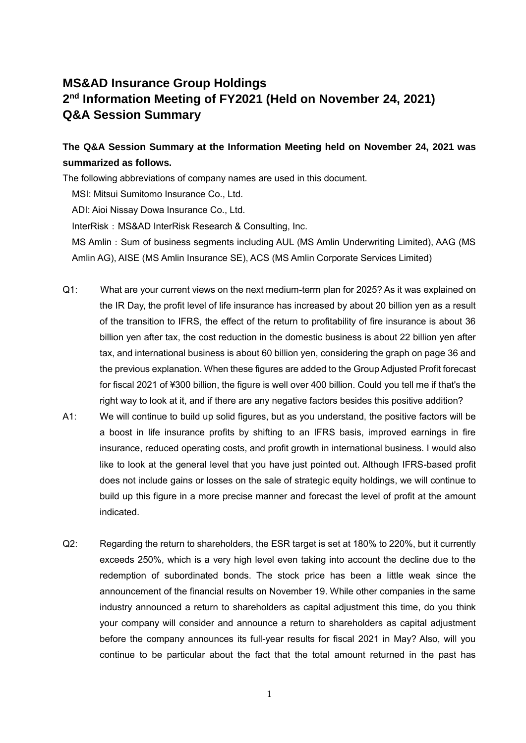## **MS&AD Insurance Group Holdings 2 nd Information Meeting of FY2021 (Held on November 24, 2021) Q&A Session Summary**

## **The Q&A Session Summary at the Information Meeting held on November 24, 2021 was summarized as follows.**

The following abbreviations of company names are used in this document.

MSI: Mitsui Sumitomo Insurance Co., Ltd.

ADI: Aioi Nissay Dowa Insurance Co., Ltd.

InterRisk: MS&AD InterRisk Research & Consulting, Inc.

MS Amlin: Sum of business segments including AUL (MS Amlin Underwriting Limited), AAG (MS Amlin AG), AISE (MS Amlin Insurance SE), ACS (MS Amlin Corporate Services Limited)

- Q1: What are your current views on the next medium-term plan for 2025? As it was explained on the IR Day, the profit level of life insurance has increased by about 20 billion yen as a result of the transition to IFRS, the effect of the return to profitability of fire insurance is about 36 billion yen after tax, the cost reduction in the domestic business is about 22 billion yen after tax, and international business is about 60 billion yen, considering the graph on page 36 and the previous explanation. When these figures are added to the Group Adjusted Profit forecast for fiscal 2021 of ¥300 billion, the figure is well over 400 billion. Could you tell me if that's the right way to look at it, and if there are any negative factors besides this positive addition?
- A1: We will continue to build up solid figures, but as you understand, the positive factors will be a boost in life insurance profits by shifting to an IFRS basis, improved earnings in fire insurance, reduced operating costs, and profit growth in international business. I would also like to look at the general level that you have just pointed out. Although IFRS-based profit does not include gains or losses on the sale of strategic equity holdings, we will continue to build up this figure in a more precise manner and forecast the level of profit at the amount indicated.
- Q2: Regarding the return to shareholders, the ESR target is set at 180% to 220%, but it currently exceeds 250%, which is a very high level even taking into account the decline due to the redemption of subordinated bonds. The stock price has been a little weak since the announcement of the financial results on November 19. While other companies in the same industry announced a return to shareholders as capital adjustment this time, do you think your company will consider and announce a return to shareholders as capital adjustment before the company announces its full-year results for fiscal 2021 in May? Also, will you continue to be particular about the fact that the total amount returned in the past has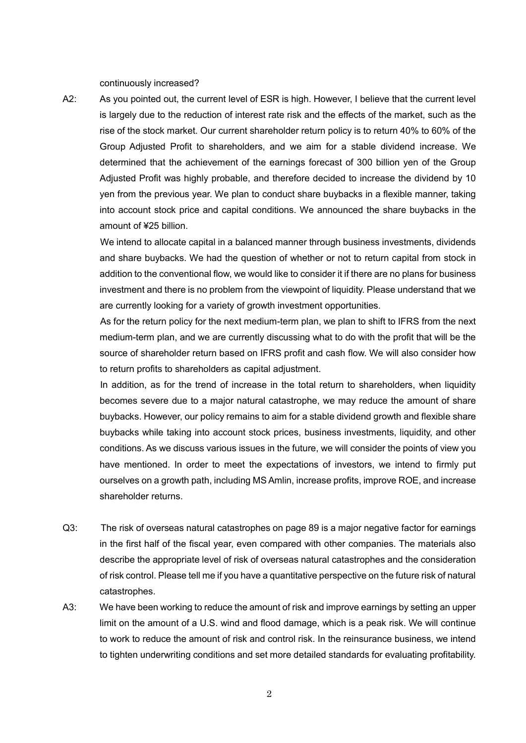continuously increased?

A2: As you pointed out, the current level of ESR is high. However, I believe that the current level is largely due to the reduction of interest rate risk and the effects of the market, such as the rise of the stock market. Our current shareholder return policy is to return 40% to 60% of the Group Adjusted Profit to shareholders, and we aim for a stable dividend increase. We determined that the achievement of the earnings forecast of 300 billion yen of the Group Adjusted Profit was highly probable, and therefore decided to increase the dividend by 10 yen from the previous year. We plan to conduct share buybacks in a flexible manner, taking into account stock price and capital conditions. We announced the share buybacks in the amount of ¥25 billion.

We intend to allocate capital in a balanced manner through business investments, dividends and share buybacks. We had the question of whether or not to return capital from stock in addition to the conventional flow, we would like to consider it if there are no plans for business investment and there is no problem from the viewpoint of liquidity. Please understand that we are currently looking for a variety of growth investment opportunities.

As for the return policy for the next medium-term plan, we plan to shift to IFRS from the next medium-term plan, and we are currently discussing what to do with the profit that will be the source of shareholder return based on IFRS profit and cash flow. We will also consider how to return profits to shareholders as capital adjustment.

In addition, as for the trend of increase in the total return to shareholders, when liquidity becomes severe due to a major natural catastrophe, we may reduce the amount of share buybacks. However, our policy remains to aim for a stable dividend growth and flexible share buybacks while taking into account stock prices, business investments, liquidity, and other conditions. As we discuss various issues in the future, we will consider the points of view you have mentioned. In order to meet the expectations of investors, we intend to firmly put ourselves on a growth path, including MS Amlin, increase profits, improve ROE, and increase shareholder returns.

- Q3: The risk of overseas natural catastrophes on page 89 is a major negative factor for earnings in the first half of the fiscal year, even compared with other companies. The materials also describe the appropriate level of risk of overseas natural catastrophes and the consideration of risk control. Please tell me if you have a quantitative perspective on the future risk of natural catastrophes.
- A3: We have been working to reduce the amount of risk and improve earnings by setting an upper limit on the amount of a U.S. wind and flood damage, which is a peak risk. We will continue to work to reduce the amount of risk and control risk. In the reinsurance business, we intend to tighten underwriting conditions and set more detailed standards for evaluating profitability.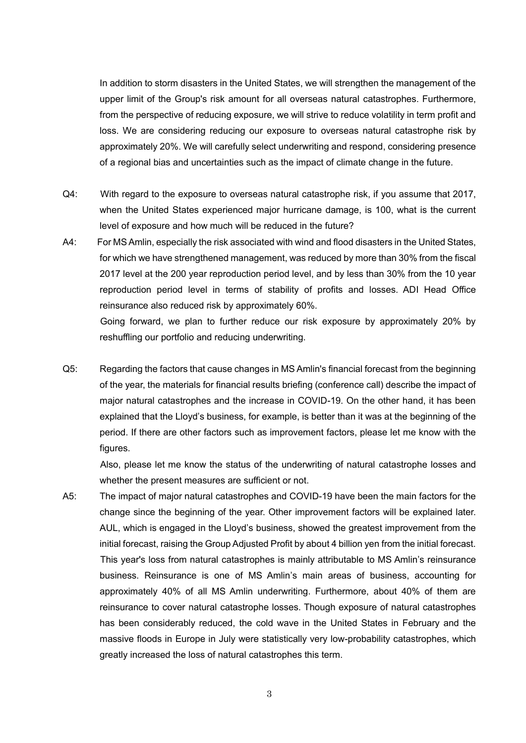In addition to storm disasters in the United States, we will strengthen the management of the upper limit of the Group's risk amount for all overseas natural catastrophes. Furthermore, from the perspective of reducing exposure, we will strive to reduce volatility in term profit and loss. We are considering reducing our exposure to overseas natural catastrophe risk by approximately 20%. We will carefully select underwriting and respond, considering presence of a regional bias and uncertainties such as the impact of climate change in the future.

- Q4: With regard to the exposure to overseas natural catastrophe risk, if you assume that 2017, when the United States experienced major hurricane damage, is 100, what is the current level of exposure and how much will be reduced in the future?
- A4: For MS Amlin, especially the risk associated with wind and flood disasters in the United States, for which we have strengthened management, was reduced by more than 30% from the fiscal 2017 level at the 200 year reproduction period level, and by less than 30% from the 10 year reproduction period level in terms of stability of profits and losses. ADI Head Office reinsurance also reduced risk by approximately 60%.

Going forward, we plan to further reduce our risk exposure by approximately 20% by reshuffling our portfolio and reducing underwriting.

Q5: Regarding the factors that cause changes in MS Amlin's financial forecast from the beginning of the year, the materials for financial results briefing (conference call) describe the impact of major natural catastrophes and the increase in COVID-19. On the other hand, it has been explained that the Lloyd's business, for example, is better than it was at the beginning of the period. If there are other factors such as improvement factors, please let me know with the figures.

Also, please let me know the status of the underwriting of natural catastrophe losses and whether the present measures are sufficient or not.

A5: The impact of major natural catastrophes and COVID-19 have been the main factors for the change since the beginning of the year. Other improvement factors will be explained later. AUL, which is engaged in the Lloyd's business, showed the greatest improvement from the initial forecast, raising the Group Adjusted Profit by about 4 billion yen from the initial forecast. This year's loss from natural catastrophes is mainly attributable to MS Amlin's reinsurance business. Reinsurance is one of MS Amlin's main areas of business, accounting for approximately 40% of all MS Amlin underwriting. Furthermore, about 40% of them are reinsurance to cover natural catastrophe losses. Though exposure of natural catastrophes has been considerably reduced, the cold wave in the United States in February and the massive floods in Europe in July were statistically very low-probability catastrophes, which greatly increased the loss of natural catastrophes this term.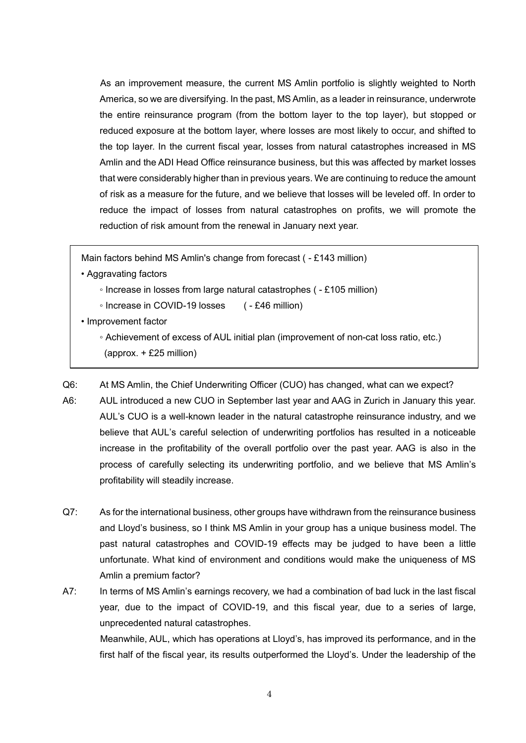As an improvement measure, the current MS Amlin portfolio is slightly weighted to North America, so we are diversifying. In the past, MS Amlin, as a leader in reinsurance, underwrote the entire reinsurance program (from the bottom layer to the top layer), but stopped or reduced exposure at the bottom layer, where losses are most likely to occur, and shifted to the top layer. In the current fiscal year, losses from natural catastrophes increased in MS Amlin and the ADI Head Office reinsurance business, but this was affected by market losses that were considerably higher than in previous years. We are continuing to reduce the amount of risk as a measure for the future, and we believe that losses will be leveled off. In order to reduce the impact of losses from natural catastrophes on profits, we will promote the reduction of risk amount from the renewal in January next year.

Main factors behind MS Amlin's change from forecast ( - £143 million)

- Aggravating factors
	- Increase in losses from large natural catastrophes ( £105 million)
	- Increase in COVID-19 losses ( £46 million)
- Improvement factor
	- Achievement of excess of AUL initial plan (improvement of non-cat loss ratio, etc.)
	- (approx. + £25 million)

Q6: At MS Amlin, the Chief Underwriting Officer (CUO) has changed, what can we expect?

- A6: AUL introduced a new CUO in September last year and AAG in Zurich in January this year. AUL's CUO is a well-known leader in the natural catastrophe reinsurance industry, and we believe that AUL's careful selection of underwriting portfolios has resulted in a noticeable increase in the profitability of the overall portfolio over the past year. AAG is also in the process of carefully selecting its underwriting portfolio, and we believe that MS Amlin's profitability will steadily increase.
- Q7: As for the international business, other groups have withdrawn from the reinsurance business and Lloyd's business, so I think MS Amlin in your group has a unique business model. The past natural catastrophes and COVID-19 effects may be judged to have been a little unfortunate. What kind of environment and conditions would make the uniqueness of MS Amlin a premium factor?
- A7: In terms of MS Amlin's earnings recovery, we had a combination of bad luck in the last fiscal year, due to the impact of COVID-19, and this fiscal year, due to a series of large, unprecedented natural catastrophes.

Meanwhile, AUL, which has operations at Lloyd's, has improved its performance, and in the first half of the fiscal year, its results outperformed the Lloyd's. Under the leadership of the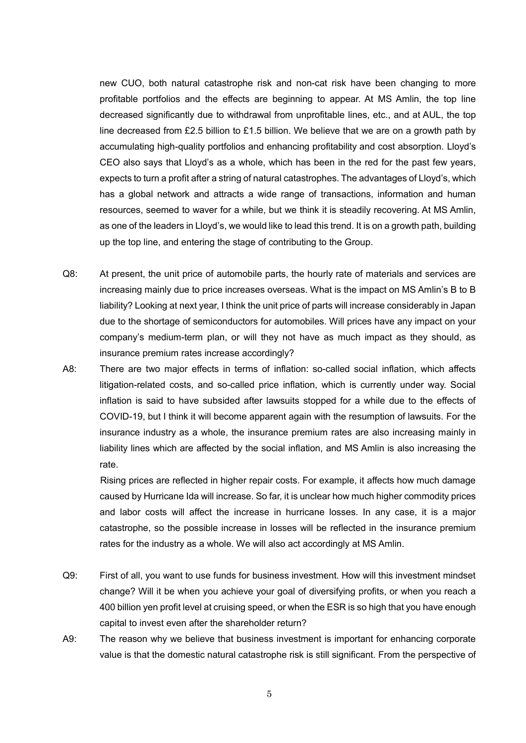new CUO, both natural catastrophe risk and non-cat risk have been changing to more profitable portfolios and the effects are beginning to appear. At MS Amlin, the top line decreased significantly due to withdrawal from unprofitable lines, etc., and at AUL, the top line decreased from £2.5 billion to £1.5 billion. We believe that we are on a growth path by accumulating high-quality portfolios and enhancing profitability and cost absorption. Lloyd's CEO also says that Lloyd's as a whole, which has been in the red for the past few years, expects to turn a profit after a string of natural catastrophes. The advantages of Lloyd's, which has a global network and attracts a wide range of transactions, information and human resources, seemed to waver for a while, but we think it is steadily recovering. At MS Amlin, as one of the leaders in Lloyd's, we would like to lead this trend. It is on a growth path, building up the top line, and entering the stage of contributing to the Group.

- Q8: At present, the unit price of automobile parts, the hourly rate of materials and services are increasing mainly due to price increases overseas. What is the impact on MS Amlin's B to B liability? Looking at next year, I think the unit price of parts will increase considerably in Japan due to the shortage of semiconductors for automobiles. Will prices have any impact on your company's medium-term plan, or will they not have as much impact as they should, as insurance premium rates increase accordingly?
- A8: There are two major effects in terms of inflation: so-called social inflation, which affects litigation-related costs, and so-called price inflation, which is currently under way. Social inflation is said to have subsided after lawsuits stopped for a while due to the effects of COVID-19, but I think it will become apparent again with the resumption of lawsuits. For the insurance industry as a whole, the insurance premium rates are also increasing mainly in liability lines which are affected by the social inflation, and MS Amlin is also increasing the rate.

Rising prices are reflected in higher repair costs. For example, it affects how much damage caused by Hurricane Ida will increase. So far, it is unclear how much higher commodity prices and labor costs will affect the increase in hurricane losses. In any case, it is a major catastrophe, so the possible increase in losses will be reflected in the insurance premium rates for the industry as a whole. We will also act accordingly at MS Amlin.

- Q9: First of all, you want to use funds for business investment. How will this investment mindset change? Will it be when you achieve your goal of diversifying profits, or when you reach a 400 billion yen profit level at cruising speed, or when the ESR is so high that you have enough capital to invest even after the shareholder return?
- A9: The reason why we believe that business investment is important for enhancing corporate value is that the domestic natural catastrophe risk is still significant. From the perspective of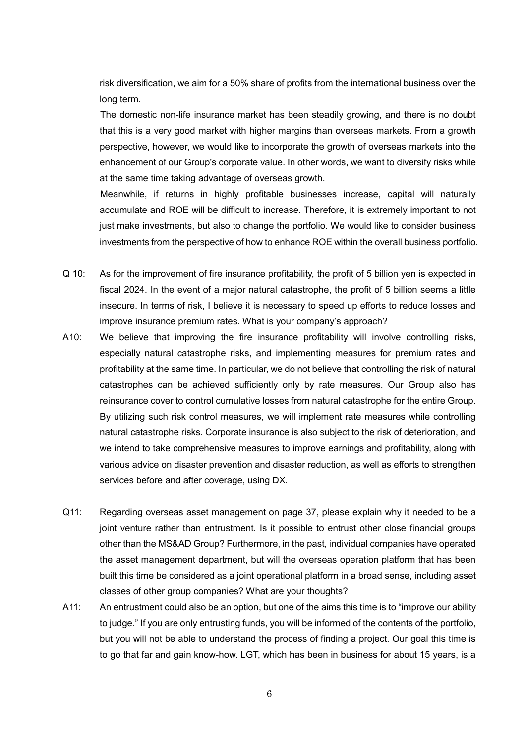risk diversification, we aim for a 50% share of profits from the international business over the long term.

The domestic non-life insurance market has been steadily growing, and there is no doubt that this is a very good market with higher margins than overseas markets. From a growth perspective, however, we would like to incorporate the growth of overseas markets into the enhancement of our Group's corporate value. In other words, we want to diversify risks while at the same time taking advantage of overseas growth.

Meanwhile, if returns in highly profitable businesses increase, capital will naturally accumulate and ROE will be difficult to increase. Therefore, it is extremely important to not just make investments, but also to change the portfolio. We would like to consider business investments from the perspective of how to enhance ROE within the overall business portfolio.

- Q 10: As for the improvement of fire insurance profitability, the profit of 5 billion yen is expected in fiscal 2024. In the event of a major natural catastrophe, the profit of 5 billion seems a little insecure. In terms of risk, I believe it is necessary to speed up efforts to reduce losses and improve insurance premium rates. What is your company's approach?
- A10: We believe that improving the fire insurance profitability will involve controlling risks, especially natural catastrophe risks, and implementing measures for premium rates and profitability at the same time. In particular, we do not believe that controlling the risk of natural catastrophes can be achieved sufficiently only by rate measures. Our Group also has reinsurance cover to control cumulative losses from natural catastrophe for the entire Group. By utilizing such risk control measures, we will implement rate measures while controlling natural catastrophe risks. Corporate insurance is also subject to the risk of deterioration, and we intend to take comprehensive measures to improve earnings and profitability, along with various advice on disaster prevention and disaster reduction, as well as efforts to strengthen services before and after coverage, using DX.
- Q11: Regarding overseas asset management on page 37, please explain why it needed to be a joint venture rather than entrustment. Is it possible to entrust other close financial groups other than the MS&AD Group? Furthermore, in the past, individual companies have operated the asset management department, but will the overseas operation platform that has been built this time be considered as a joint operational platform in a broad sense, including asset classes of other group companies? What are your thoughts?
- A11: An entrustment could also be an option, but one of the aims this time is to "improve our ability to judge." If you are only entrusting funds, you will be informed of the contents of the portfolio, but you will not be able to understand the process of finding a project. Our goal this time is to go that far and gain know-how. LGT, which has been in business for about 15 years, is a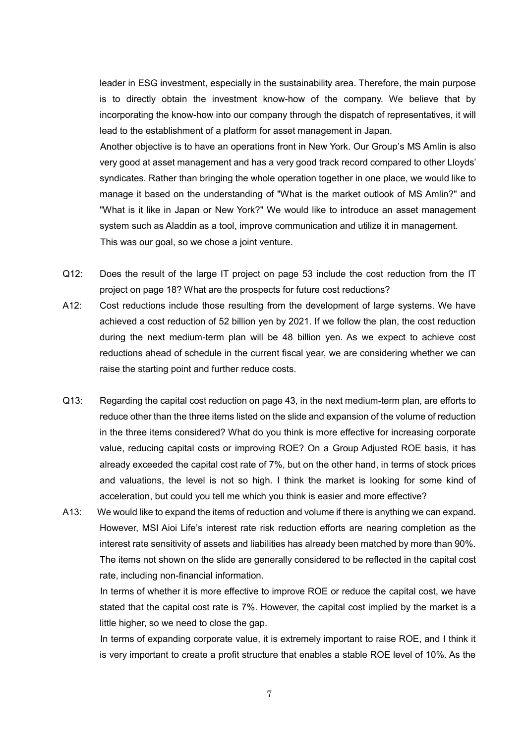leader in ESG investment, especially in the sustainability area. Therefore, the main purpose is to directly obtain the investment know-how of the company. We believe that by incorporating the know-how into our company through the dispatch of representatives, it will lead to the establishment of a platform for asset management in Japan.

Another objective is to have an operations front in New York. Our Group's MS Amlin is also very good at asset management and has a very good track record compared to other Lloyds' syndicates. Rather than bringing the whole operation together in one place, we would like to manage it based on the understanding of "What is the market outlook of MS Amlin?" and "What is it like in Japan or New York?" We would like to introduce an asset management system such as Aladdin as a tool, improve communication and utilize it in management. This was our goal, so we chose a joint venture.

- Q12: Does the result of the large IT project on page 53 include the cost reduction from the IT project on page 18? What are the prospects for future cost reductions?
- A12: Cost reductions include those resulting from the development of large systems. We have achieved a cost reduction of 52 billion yen by 2021. If we follow the plan, the cost reduction during the next medium-term plan will be 48 billion yen. As we expect to achieve cost reductions ahead of schedule in the current fiscal year, we are considering whether we can raise the starting point and further reduce costs.
- Q13: Regarding the capital cost reduction on page 43, in the next medium-term plan, are efforts to reduce other than the three items listed on the slide and expansion of the volume of reduction in the three items considered? What do you think is more effective for increasing corporate value, reducing capital costs or improving ROE? On a Group Adjusted ROE basis, it has already exceeded the capital cost rate of 7%, but on the other hand, in terms of stock prices and valuations, the level is not so high. I think the market is looking for some kind of acceleration, but could you tell me which you think is easier and more effective?
- A13: We would like to expand the items of reduction and volume if there is anything we can expand. However, MSI Aioi Life's interest rate risk reduction efforts are nearing completion as the interest rate sensitivity of assets and liabilities has already been matched by more than 90%. The items not shown on the slide are generally considered to be reflected in the capital cost rate, including non-financial information.

In terms of whether it is more effective to improve ROE or reduce the capital cost, we have stated that the capital cost rate is 7%. However, the capital cost implied by the market is a little higher, so we need to close the gap.

In terms of expanding corporate value, it is extremely important to raise ROE, and I think it is very important to create a profit structure that enables a stable ROE level of 10%. As the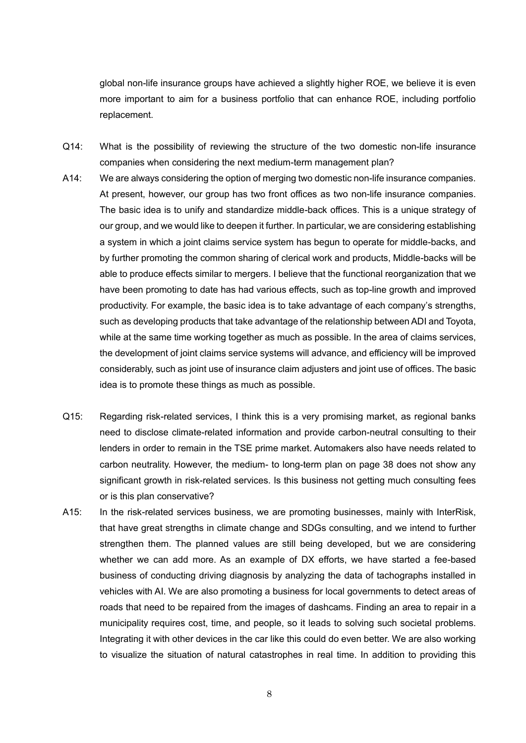global non-life insurance groups have achieved a slightly higher ROE, we believe it is even more important to aim for a business portfolio that can enhance ROE, including portfolio replacement.

- Q14: What is the possibility of reviewing the structure of the two domestic non-life insurance companies when considering the next medium-term management plan?
- A14: We are always considering the option of merging two domestic non-life insurance companies. At present, however, our group has two front offices as two non-life insurance companies. The basic idea is to unify and standardize middle-back offices. This is a unique strategy of our group, and we would like to deepen it further. In particular, we are considering establishing a system in which a joint claims service system has begun to operate for middle-backs, and by further promoting the common sharing of clerical work and products, Middle-backs will be able to produce effects similar to mergers. I believe that the functional reorganization that we have been promoting to date has had various effects, such as top-line growth and improved productivity. For example, the basic idea is to take advantage of each company's strengths, such as developing products that take advantage of the relationship between ADI and Toyota, while at the same time working together as much as possible. In the area of claims services, the development of joint claims service systems will advance, and efficiency will be improved considerably, such as joint use of insurance claim adjusters and joint use of offices. The basic idea is to promote these things as much as possible.
- Q15: Regarding risk-related services, I think this is a very promising market, as regional banks need to disclose climate-related information and provide carbon-neutral consulting to their lenders in order to remain in the TSE prime market. Automakers also have needs related to carbon neutrality. However, the medium- to long-term plan on page 38 does not show any significant growth in risk-related services. Is this business not getting much consulting fees or is this plan conservative?
- A15: In the risk-related services business, we are promoting businesses, mainly with InterRisk, that have great strengths in climate change and SDGs consulting, and we intend to further strengthen them. The planned values are still being developed, but we are considering whether we can add more. As an example of DX efforts, we have started a fee-based business of conducting driving diagnosis by analyzing the data of tachographs installed in vehicles with AI. We are also promoting a business for local governments to detect areas of roads that need to be repaired from the images of dashcams. Finding an area to repair in a municipality requires cost, time, and people, so it leads to solving such societal problems. Integrating it with other devices in the car like this could do even better. We are also working to visualize the situation of natural catastrophes in real time. In addition to providing this